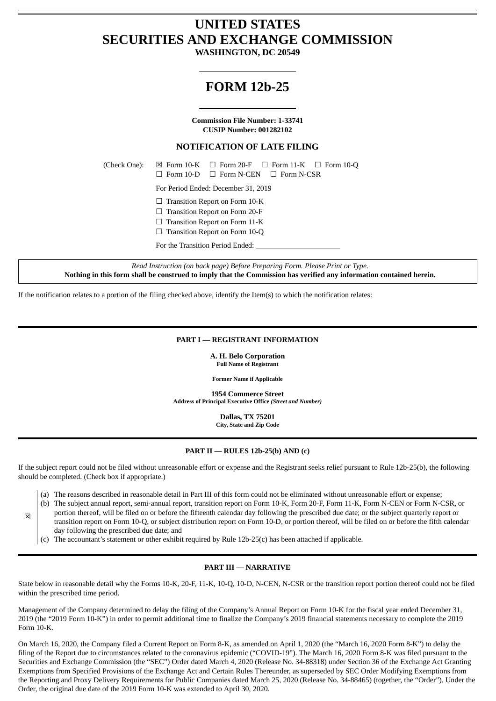# **UNITED STATES SECURITIES AND EXCHANGE COMMISSION**

**WASHINGTON, DC 20549**

## **FORM 12b-25**

**Commission File Number: 1-33741 CUSIP Number: 001282102**

## **NOTIFICATION OF LATE FILING**

(Check One):  $\boxtimes$  Form 10-K  $\Box$  Form 20-F  $\Box$  Form 11-K  $\Box$  Form 10-Q

☐ Form 10-D ☐ Form N-CEN ☐ Form N-CSR

For Period Ended: December 31, 2019

- ☐ Transition Report on Form 10-K
- ☐ Transition Report on Form 20-F
- ☐ Transition Report on Form 11-K

□ Transition Report on Form 10-Q

For the Transition Period Ended:

*Read Instruction (on back page) Before Preparing Form. Please Print or Type.* Nothing in this form shall be construed to imply that the Commission has verified any information contained herein.

If the notification relates to a portion of the filing checked above, identify the Item(s) to which the notification relates:

#### **PART I — REGISTRANT INFORMATION**

**A. H. Belo Corporation Full Name of Registrant**

**Former Name if Applicable**

**1954 Commerce Street Address of Principal Executive Office** *(Street and Number)*

> **Dallas, TX 75201 City, State and Zip Code**

#### **PART II — RULES 12b-25(b) AND (c)**

If the subject report could not be filed without unreasonable effort or expense and the Registrant seeks relief pursuant to Rule 12b-25(b), the following should be completed. (Check box if appropriate.)

- (a) The reasons described in reasonable detail in Part III of this form could not be eliminated without unreasonable effort or expense;
- (b) The subject annual report, semi-annual report, transition report on Form 10-K, Form 20-F, Form 11-K, Form N-CEN or Form N-CSR, or
- portion thereof, will be filed on or before the fifteenth calendar day following the prescribed due date; or the subject quarterly report or
- transition report on Form 10-Q, or subject distribution report on Form 10-D, or portion thereof, will be filed on or before the fifth calendar day following the prescribed due date; and
- (c) The accountant's statement or other exhibit required by Rule 12b-25(c) has been attached if applicable.

 $\triangleright$ 

### **PART III — NARRATIVE**

State below in reasonable detail why the Forms 10-K, 20-F, 11-K, 10-Q, 10-D, N-CEN, N-CSR or the transition report portion thereof could not be filed within the prescribed time period.

Management of the Company determined to delay the filing of the Company's Annual Report on Form 10-K for the fiscal year ended December 31, 2019 (the "2019 Form 10-K") in order to permit additional time to finalize the Company's 2019 financial statements necessary to complete the 2019 Form 10-K.

On March 16, 2020, the Company filed a Current Report on Form 8-K, as amended on April 1, 2020 (the "March 16, 2020 Form 8-K") to delay the filing of the Report due to circumstances related to the coronavirus epidemic ("COVID-19"). The March 16, 2020 Form 8-K was filed pursuant to the Securities and Exchange Commission (the "SEC") Order dated March 4, 2020 (Release No. 34-88318) under Section 36 of the Exchange Act Granting Exemptions from Specified Provisions of the Exchange Act and Certain Rules Thereunder, as superseded by SEC Order Modifying Exemptions from the Reporting and Proxy Delivery Requirements for Public Companies dated March 25, 2020 (Release No. 34-88465) (together, the "Order"). Under the Order, the original due date of the 2019 Form 10-K was extended to April 30, 2020.